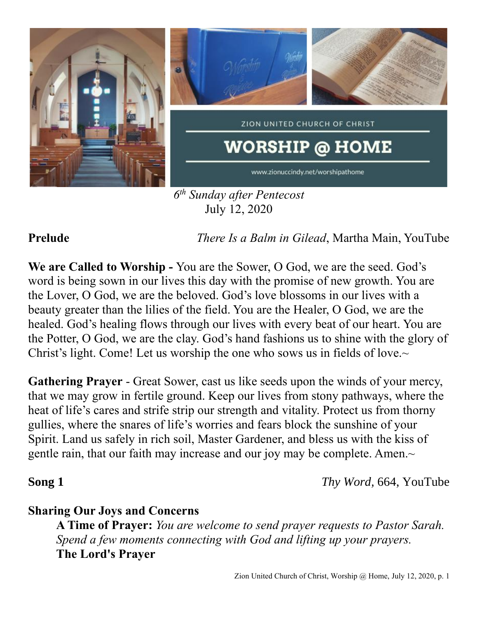

July 12, 2020

**Prelude** *There Is a Balm in Gilead*, Martha Main, YouTube

**We are Called to Worship -** You are the Sower, O God, we are the seed. God's word is being sown in our lives this day with the promise of new growth. You are the Lover, O God, we are the beloved. God's love blossoms in our lives with a beauty greater than the lilies of the field. You are the Healer, O God, we are the healed. God's healing flows through our lives with every beat of our heart. You are the Potter, O God, we are the clay. God's hand fashions us to shine with the glory of Christ's light. Come! Let us worship the one who sows us in fields of love. $\sim$ 

**Gathering Prayer** - Great Sower, cast us like seeds upon the winds of your mercy, that we may grow in fertile ground. Keep our lives from stony pathways, where the heat of life's cares and strife strip our strength and vitality. Protect us from thorny gullies, where the snares of life's worries and fears block the sunshine of your Spirit. Land us safely in rich soil, Master Gardener, and bless us with the kiss of gentle rain, that our faith may increase and our joy may be complete. Amen.~

**Song 1** *Thy Word,* 664, YouTube

## **Sharing Our Joys and Concerns**

**A Time of Prayer:** *You are welcome to send prayer requests to Pastor Sarah. Spend a few moments connecting with God and lifting up your prayers.* **The Lord's Prayer**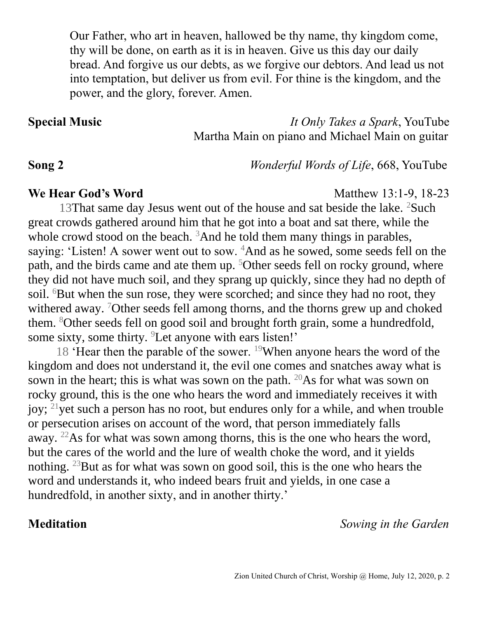Our Father, who art in heaven, hallowed be thy name, thy kingdom come, thy will be done, on earth as it is in heaven. Give us this day our daily bread. And forgive us our debts, as we forgive our debtors. And lead us not into temptation, but deliver us from evil. For thine is the kingdom, and the power, and the glory, forever. Amen.

**Special Music** *It Only Takes a Spark*, YouTube Martha Main on piano and Michael Main on guitar

**Song 2** *Wonderful Words of Life*, 668, YouTube

### **We Hear God's Word** Matthew 13:1-9, 18-23

13That same day Jesus went out of the house and sat beside the lake.  ${}^{2}$ Such great crowds gathered around him that he got into a boat and sat there, while the whole crowd stood on the beach.  $3$ And he told them many things in parables, saying: 'Listen! A sower went out to sow. <sup>4</sup>And as he sowed, some seeds fell on the path, and the birds came and ate them up. <sup>5</sup>Other seeds fell on rocky ground, where they did not have much soil, and they sprang up quickly, since they had no depth of soil. <sup>6</sup>But when the sun rose, they were scorched; and since they had no root, they withered away. <sup>7</sup>Other seeds fell among thorns, and the thorns grew up and choked them. <sup>8</sup>Other seeds fell on good soil and brought forth grain, some a hundredfold, some sixty, some thirty. <sup>9</sup>Let anyone with ears listen!'

18 'Hear then the parable of the sower. <sup>19</sup>When anyone hears the word of the kingdom and does not understand it, the evil one comes and snatches away what is sown in the heart; this is what was sown on the path.  $20\text{As}$  for what was sown on rocky ground, this is the one who hears the word and immediately receives it with joy; <sup>21</sup>yet such a person has no root, but endures only for a while, and when trouble or persecution arises on account of the word, that person immediately falls away. <sup>22</sup>As for what was sown among thorns, this is the one who hears the word, but the cares of the world and the lure of wealth choke the word, and it yields nothing. <sup>23</sup>But as for what was sown on good soil, this is the one who hears the word and understands it, who indeed bears fruit and yields, in one case a hundredfold, in another sixty, and in another thirty.'

**Meditation** *Sowing in the Garden*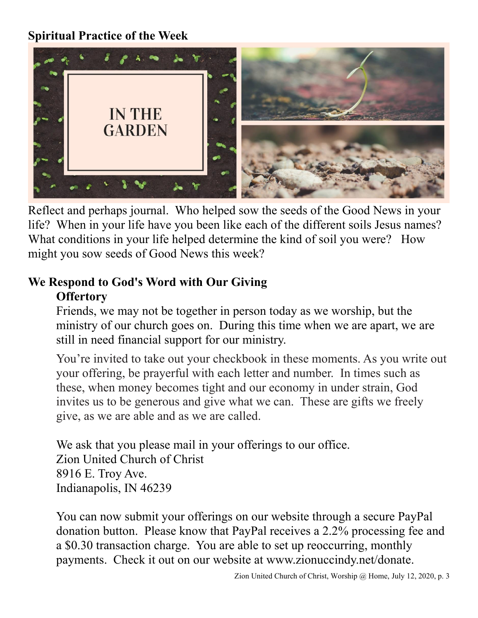# **Spiritual Practice of the Week**



Reflect and perhaps journal. Who helped sow the seeds of the Good News in your life? When in your life have you been like each of the different soils Jesus names? What conditions in your life helped determine the kind of soil you were? How might you sow seeds of Good News this week?

## **We Respond to God's Word with Our Giving Offertory**

Friends, we may not be together in person today as we worship, but the ministry of our church goes on. During this time when we are apart, we are still in need financial support for our ministry.

You're invited to take out your checkbook in these moments. As you write out your offering, be prayerful with each letter and number. In times such as these, when money becomes tight and our economy in under strain, God invites us to be generous and give what we can. These are gifts we freely give, as we are able and as we are called.

We ask that you please mail in your offerings to our office. Zion United Church of Christ 8916 E. Troy Ave. Indianapolis, IN 46239

You can now submit your offerings on our website through a secure PayPal donation button. Please know that PayPal receives a 2.2% processing fee and a \$0.30 transaction charge. You are able to set up reoccurring, monthly payments. Check it out on our website at www.zionuccindy.net/donate.